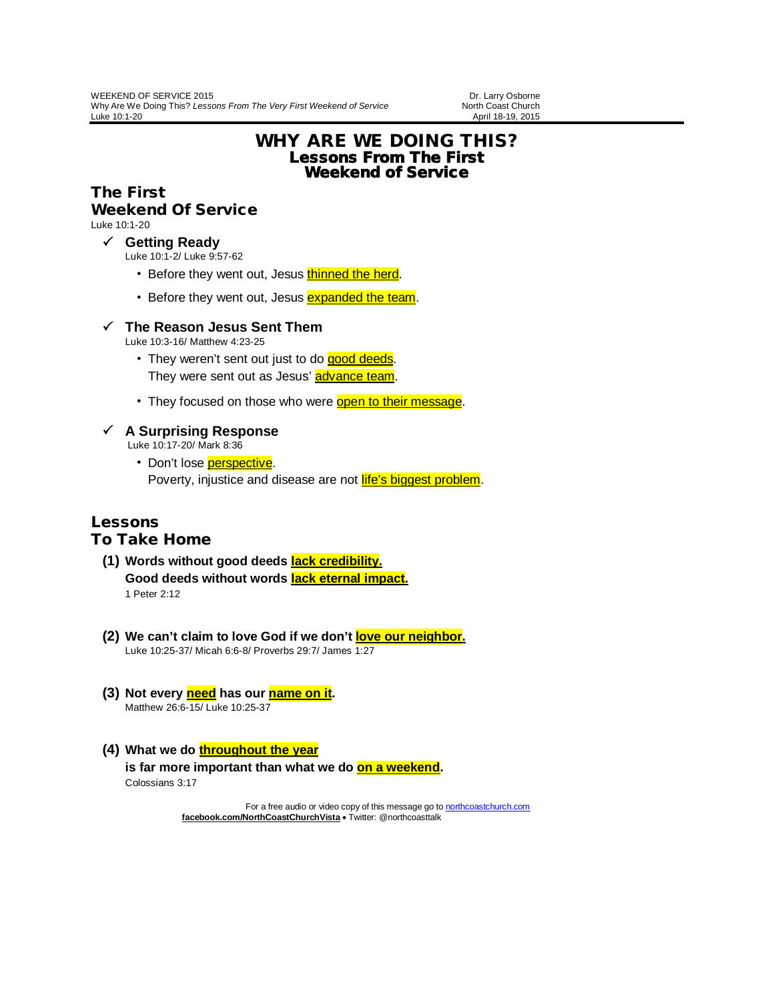April 18-19, 2015

# WHY ARE WE DOING THIS? Lessons From The First Weekend of Service

# The First

## Weekend Of Service

Luke 10:1-20

#### **Getting Ready**

Luke 10:1-2/ Luke 9:57-62

- Before they went out, Jesus thinned the herd.
- Before they went out, Jesus **expanded the team**.

## **The Reason Jesus Sent Them**

Luke 10:3-16/ Matthew 4:23-25

- They weren't sent out just to do good deeds. They were sent out as Jesus' **advance team**.
- They focused on those who were **open to their message**.

## **A Surprising Response**

Luke 10:17-20/ Mark 8:36

• Don't lose perspective. Poverty, injustice and disease are not *life's biggest problem*.

### Lessons To Take Home

### **(1) Words without good deeds lack credibility. Good deeds without words lack eternal impact.** 1 Peter 2:12

- **(2) We can't claim to love God if we don't love our neighbor.** Luke 10:25-37/ Micah 6:6-8/ Proverbs 29:7/ James 1:27
- **(3)** Not every **need** has our **name on it**. Matthew 26:6-15/ Luke 10:25-37
- **(4)** What we do **throughout the year is far more important than what we do on a weekend.** Colossians 3:17

For a free audio or video copy of this message go t[o northcoastchurch.com](http://northcoastchurch.com/) **facebook.com/NorthCoastChurchVista** • Twitter: @northcoasttalk